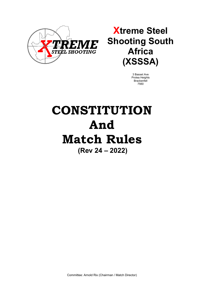

## **Xtreme Steel Shooting South Africa (XSSSA)**

3 Basset Ave Protea Heights Brackenfell 7560

# **CONSTITUTION And Match Rules (Rev 24 – 2022)**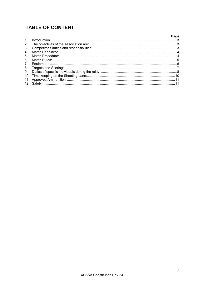## **TABLE OF CONTENT**

|                                |                | Page |
|--------------------------------|----------------|------|
| 1 <sub>1</sub>                 | Introduction 3 |      |
| 2 <sub>1</sub>                 |                |      |
| 3 <sub>1</sub>                 |                |      |
| 4.                             |                |      |
| 5.                             |                |      |
| 6.                             |                |      |
| $7_{\scriptscriptstyle{\sim}}$ |                |      |
| 8.                             |                |      |
| 9.                             |                |      |
|                                |                |      |
|                                |                |      |
| 12 <sup>7</sup>                |                |      |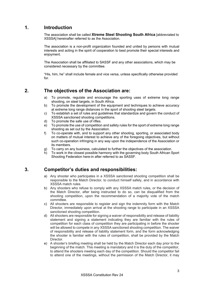## <span id="page-2-0"></span>**1. Introduction**

The association shall be called **Xtreme Steel Shooting South Africa** [abbreviated to XSSSA] hereinafter referred to as the Association.

The association is a non-profit organization founded and united by persons with mutual interests and acting in the spirit of cooperation to best promote their special interests and enjoyment.

The Association shall be affiliated to SASSF and any other associations, which may be considered necessary by the committee.

"His, him, he" shall include female and vice versa, unless specifically otherwise provided  $for$ 

## <span id="page-2-1"></span>**2. The objectives of the Association are:**

- a) To promote, regulate and encourage the sporting uses of extreme long range shooting, on steel targets, in South Africa.
- b) To promote the development of the equipment and techniques to achieve accuracy at extreme long range distances in the sport of shooting steel targets.
- c) To establish a set of rules and guidelines that standardize and govern the conduct of XSSSA sanctioned shooting competitions.
- d) To promote the safe use of rifles.
- e) To promote the use of competition and safety rules for the sport of extreme long range shooting as set out by the Association.
- f) To co-operate with, and to support any other shooting, sporting, or associated body on matters of mutual interest to achieve any of the foregoing objectives, but without such co-operation infringing in any way upon the independence of the Association or its members.
- g) To carry on any business, calculated to further the objectives of the association.
- h) To work in the closest possible harmony with the governing body South African Sport Shooting Federation here-in after referred to as SASSF.

## <span id="page-2-2"></span>**3. Competitor's duties and responsibilities:**

- a) Any shooter who participates in a XSSSA sanctioned shooting competition shall be responsible to the Match Director, to conduct himself safely, and in accordance with XSSSA match rules.
- b) Any shooters who refuse to comply with any XSSSA match rules, or the decision of the Match Director, after being instructed to do so, can be disqualified from the shooting competition, upon the recommendation of a majority vote of the match committee.
- c) All shooters are responsible to register and sign the indemnity form with the Match Director, immediately upon arrival at the shooting range to participate in an XSSSA sanctioned shooting competition.
- d) All shooters are responsible for signing a waiver of responsibility and release of liability statement and signing a statement indicating they are familiar with the rules of competition for each class of competition they are participating in before the shooter will be allowed to compete in any XSSSA sanctioned shooting competition. The waiver of responsibility and release of liability statement form, and the form acknowledging the shooter is familiar with the rules of competition, shall be provided by the Match **Director**
- e) A shooter's briefing meeting shall be held by the Match Director each day prior to the beginning of the match. This meeting is mandatory and it is the duty of the competitor, to attend the shooters meeting each day of the competition. Should the competitor fail to attend one of the meetings, without the permission of the Match Director, it may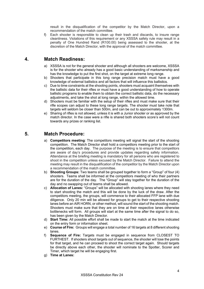result in the disqualification of the competitor by the Match Director, upon a recommendation of the match committee.

f) Each shooter is responsible to clean up their trash and discards, to insure range cleanliness. Violations of this requirement or any XSSSA safety rule may result in a penalty of One Hundred Rand (R100.00) being assessed to the shooter, at the discretion of the Match Director, with the approval of the match committee.

### <span id="page-3-0"></span>**4. Match Readiness:**

- a) XSSSA is not for the general shooter and although all shooters are welcome, XSSSA is for the shooter who already has a good basic understanding of marksmanship and has the knowledge to put the first shot, on the target at extreme long range.
- b) Shooters that participate in this long range precision match must have a good knowledge of external ballistics and all factors that will influence this ballistics.
- c) Due to time constraints at the shooting points, shooters must acquaint themselves with the ballistic data for their rifles or must have a good understanding of how to operate ballistic programs to enable them to obtain the correct ballistic data, do the necessary adjustments, and take the shot at long range, within the allowed time.
- d) Shooters must be familiar with the setup of their rifles and must make sure that their rifle scopes can adjust to these long range targets. The shooter must take note that targets will seldom be closer than 500m, and can be out to approximately 1300m.
- e) Sharing of rifles is not allowed, unless it is with a Junior shooter or as approved by the match director. In the case were a rifle is shared both shooters score's will not count towards any prizes or ranking list.

## <span id="page-3-1"></span>**5. Match Procedure:**

- a) **Competitors meeting**: The competitors meeting will signal the start of the shooting competition. The Match Director shall hold a competitors meeting prior to the start of the competition, each day. The purpose of the meeting is to ensure that competitors are aware of day's procedures and provide updates regarding safety information. Attendance at the briefing meeting is mandatory for all persons who are registered to shoot in the competition unless excused by the Match Director. Failure to attend the meeting may result in the disqualification of the competitor by the Match Director upon a recommendation of the match committee.
- b) **Shooting Groups:** Two teams shall be grouped together to form a "Group" of four (4) shooters. Teams shall be informed at the competitors meeting of who their partners are for the duration of the day. The "Group" will stay together for the duration of the day and no swapping out of teams shall be allowed.
- c) **Allocation of Lanes:** "Groups" will be allocated with shooting lanes where they need to start shooting the match and this will be done by the luck of the draw. After the competitors meeting, the groups, will commence to their allocated FFP lane with due diligence. Only 20 min will be allowed for groups to get to their respective shooting lanes before an AIR HORN, or other method, will sound the start of the shooting match. Shooters must make sure that they are on time at their respective lanes otherwise bottlenecks will form. All groups will start at the same time after the signal to do so, has been given by the Match Director.
- d) **Start Time:** All possible effort shall be made to start the match at the time indicated on the entry form or information sheet.
- e) **Course of Fire:** Groups will engage a total number of 16 targets at 8 different shooting lanes.
- f) **Sequence of Fire:** Targets must be engaged in sequence from CLOSEST TO FURTHEST. If shooters shoot targets out of sequence, the shooter will lose the points for that target, and he can proceed to shoot the correct target again. Should targets be directly above each other, the shooter will nominate to the Spotter, Scorer and Timer, which target he will be engaging first.
- g) **Time at Lanes:**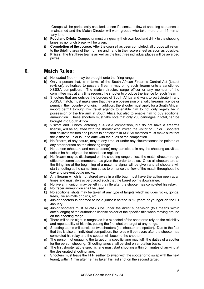Groups will be periodically checked, to see if a constant flow of shooting sequence is maintained and the Match Director will warn groups who take more than 45 min at any lane.

- h) **Food and Drink:** Competitor must bring/carry their own food and drink to the shooting lanes as no lunch break will be given.
- i) **Completion of the course:** After the course has been completed, all groups will return to the Briefing area of the morning and hand in their score sheet as soon as possible.
- j) **Prizes:** The first three teams as well as the first three individual places will be awarded prizes.

## <span id="page-4-0"></span>**6. Match Rules:**

- a) No loaded firearm may be brought onto the firing range.
- b) Only a person that, is in terms of the South African Firearms Control Act (Latest revision), authorised to poses a firearm, may bring such firearm onto a sanctioned XSSSA competition. The match director, range officer or any member of the committee may at any time request the shooter to produce the licence for such firearm.
- c) Shooters that are outside the borders of South Africa and want to participate in any XSSSA match, must make sure that they are possession of a valid firearms licence or permit in their country of origin. In addition, the shooter must apply for a South African import permit through his travel agency to enable him to not only legally be in possession of the fire arm in South Africa but also to enable him to buy additional ammunition. These shooters must take note that only 200 cartridges in total, can be brought into South Africa.
- d) Visitors and Juniors, entering a XSSSA competition, but do not have a firearms license, will be squatted with the shooter who invited the visitor or Junior. Shooters that do invite visitors and juniors to participate in XSSSA matches must make sure that the visitor or junior is up to date with the rules of the competition.
- e) No firearm, of any nature, may at any time, or under any circumstances be pointed at any other person on the shooting range.
- f) No person (shooters and non-shooters) may participate in any the shooting activities, unless he has signed the attendance register.
- g) No firearm may be discharged on the shooting range unless the match director, range officer or committee members, has given the order to do so. Once all shooters are at the firing line at the beginning of a match, a signal will be given and all shooters will start shooting at the same time so as to enhance the flow of the match throughout the day and prevent bottle necks.
- h) Any firearm which is not stored away in a rifle bag, must have the action open at all times and must always be placed such that the barrel points downrange.
- i) No live ammunition may be left in the rifle after the shooter has completed his relay.<br>i) No tracer ammunition shall be used.
- No tracer ammunition shall be used.
- $k$ ) No additional shots may be taken at any type of targets which includes rocks, gongs, trees, live animals or birds, etc.
- l) Junior shooters is deemed to be a junior if he/she is 17 years or younger on the 01 January.
- m) Junior shooters must ALWAYS be under the direct supervision (this means within arm's length) of the authorised license holder of the specific rifle when moving around on the shooting range.
- n) There will be no sight-in ranges as it is expected of the shooter to rely on the reliability and repeatability of his rifle, putting the first shot on target at any range.
- o) Shooting teams will consist of two shooters (i.e. shooter and spotter). Due to the fact that this is also an individual competition, the roles will be revers after the shooter has completed his relay and the spotter will become the shooter.
- p) The person not engaging the target on a specific lane may fulfil the duties of a spotter for the person shooting. Shooting lanes shall be shot on a rotation basis.
- q) The first shooter at the specific lane must start shooting within 5 minutes of arriving at the designated shooting lane.
- r) Shooters must leave the FFP, (either to swap with the spotter or to swap with the next team), within 1 min after he has taken his last shot on the second target.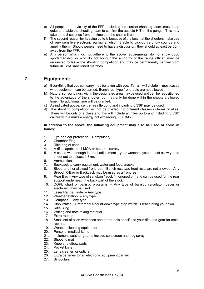- s) All people in the vicinity of the FFP, including the current shooting team, must keep quiet to enable the shooting team to confirm the audible HIT on the gongs. This may take up to 8 seconds from the time that the shot is fired.
- t) The second reason for keeping quite is because of the fact that the shooters make use of very sensitive electronic earmuffs, which is able to pick-up very low sounds and amplify them. Should people need to have a discussion, they should at least be 50m away from the FFP.
- u) Any person which, do not adhere to the above requirements, do not show good sportsmanship, or who do not honour the authority of the range officer, may be requested to leave the shooting competition and may be permanently banned from future XSSSA sanctioned matches.

## <span id="page-5-0"></span>**7. Equipment:**

- a) Everything that you can carry may be taken with you. Terrain will dictate in most cases what equipment can be carried. Bench rest type front rests are not allowed
- b) Natural surroundings, within the designated area may be used and can be repositioned to the advantage of the shooter, but may only be done within the shooters allowed time. No additional time will be granted.
- c) As indicated above, centre fire rifle up to and including 0.338" may be used.
- d) The shooting competition will not be divided into different classes in terms of rifles. There will be only one class and this will include all rifles up to and including 0.338" calibre with a muzzle energy not exceeding 5500 ft/lb

#### **In addition to the above, the following equipment may also be used or come in handy**:

- 1. Eye and ear protection Compulsory<br>2. Chamber Flag
- 2. Chamber Flag<br>3. Rifle bag of ca
- 3. Rifle bag of case<br>4. A rifle capable of
- 4. A rifle capable of 1 MOA or better accuracy<br>5. A scope with enough internal adjustment –
- 5. A scope with enough internal adjustment your weapon system must allow you to shoot out to at least 1,3km.
- 6. Ammunition
- 7. Backpack to carry equipment, water and food/snacks
- 8. Bipod or other allowed front rest. Bench rest type front rests are not allowed. Any Bi-pod, X-Bag or Backpack may be used as a front rest.
- 9. Rear Bag Any type of sandbag / sock / monopod or hand can be used for the rear support underneath the back part of the stock.
- 10. DOPE chart or ballistic programs. Any type of ballistic calculator, paper or electronic, may be used.
- 11. Laser Range Finder Any type.
- 12. Weather station. Any type.
- 13. Compass. Any type.
- 14. Stop Watch Preferably a count-down type stop watch. Please bring your own.
- 15. Rifle Sling<br>16. Writing and
- Writing and note taking material
- 17. Extra rounds
- 18. Small set of allen wrenches and other tools specific to your rifle and gear for small repairs.
- 19. Weapon cleaning equipment<br>20. Personal medical items
- 20. Personal medical items<br>21 Inclement weather gear
- Inclement weather gear to include sunscreen and bug spray
- 22. Shooting mat
- 23. Knee and elbow pads
- 24. Pocket knife<br>25. Lens cleaner
- Lens cleaner for optic(s)
- 26. Extra batteries for all electronic equipment carried<br>27. Binoculars
- **Binoculars**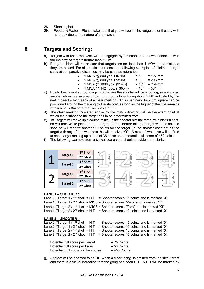- 28. Shooting hat
- 29. Food and Water Please take note that you will be on the range the entire day with no break due to the nature of the match.

## <span id="page-6-0"></span>**8. Targets and Scoring:**

- a) Targets with unknown sizes will be engaged by the shooter at known distances, with the majority of targets further than 500m.
- b) Range builders will make sure that targets are not less than 1 MOA at the distance they are placed. For all practical purposes the following examples of minimum target sizes at comparative distances may be used as reference:
	- $1 \text{ MOA} \text{ (}0, 500 \text{ yds. } (457 \text{ m}) = 5" = 127 \text{ mm}$
	-
	- $1 \text{ MOA} \textcircled{2} 800 \text{ yds.} (731 \text{m}) = 8" = 203 \text{ mm}$ <br> $1 \text{ MOA} \textcircled{2} 1000 \text{ yds.} (914 \text{m}) = 10" = 254 \text{ mm}$ 
		- $1 \text{ MOA} \ @ \ 1000 \text{ yds}. (914\text{m}) = 10" = 254 \text{ mm}$ <br> $1 \text{ MOA} \ @ \ 1421 \text{ yds}. (1300\text{m}) = 15" = 381 \text{ mm}$ 1 MOA @ 1421 yds.  $(1300m)$
- c) Due to the natural surroundings, from where the shooter will be shooting, a designated area is defined as an area of 3m x 3m from a Final Firing Point (FFP) indicated by the match director by means of a clear marking. This imaginary 3m x 3m square can be positioned around the marking by the shooter, as long as the trigger of the rifle remains within a 3m x 3m area that includes the FFP.
- d) The clear marking indicated above by the match director, will be the exact point at which the distance to the target has to be determined from.
- e) 18 Targets will make up a course of fire. If the shooter hits the target with his first shot, he will receive 15 points for the target. If the shooter hits the target with his second shot, he will receive another 10 points for the target. If the shooter does not hit the target with any of the two shots, he will receive **"O"**. A max of two shots will be fired to each target making up a total of 36 shots and a potential full score of 450 points.
- f) The following example from a typical score card should provide more clarity:

|                 | 1 <sup>st</sup> Shot | X              |                | $\cup$  |                |
|-----------------|----------------------|----------------|----------------|---------|----------------|
| <b>Target 1</b> | 2 <sup>nd</sup> Shot | Signature<br>0 | nature         | Þ       | Signature      |
|                 | $1st$ Shot           | 0              | $\overline{S}$ | Signatu |                |
| <b>Target 2</b> | 2 <sup>nd</sup> Shot | Χ              |                |         |                |
|                 | $1st$ Shot           |                |                | $\cup$  | X              |
| <b>Target 1</b> | 2 <sup>nd</sup> Shot |                |                | ≒       |                |
|                 | $1st$ Shot           | Signature      | Signature      | Signatu | Signature<br>Χ |
| <b>Target 2</b> | 2 <sup>nd</sup> Shot |                |                |         |                |

#### **LANE 1 – SHOOTER 1**

Lane 1 / Target 1 / 1<sup>st</sup> shot = HIT = Shooter scores 15 points and is marked " $\mathbf{X}$ " Lane 1 / Target 1 / 2nd shot = MISS = Shooter scores "Zero" and is marked "**O**" Lane 1 / Target 2 / 1st shot = MISS = Shooter scores "Zero" and is marked "**O**" Lane 1 / Target  $2$  /  $2<sup>nd</sup>$  shot = HIT = Shooter scores 10 points and is marked " $\mathbf{X}$ "

#### **LANE 2 – SHOOTER 1**

| Lane 2 / Target 1 / 1 <sup>st</sup> shot = HIT = Shooter scores 15 points and is marked "X" |
|---------------------------------------------------------------------------------------------|
| Lane 2 / Target 1 / $2nd$ shot = HIT = Shooter scores 10 points and is marked "X"           |
| Lane 2 / Target 2 / 1 <sup>st</sup> shot = HIT = Shooter scores 15 points and is marked "X" |
| Lane 2 / Target 2 / $2nd$ shot = HIT = Shooter scores 10 points and is marked "X"           |
|                                                                                             |

| Potential full score per Target     | $= 25$ Points  |
|-------------------------------------|----------------|
| Potential full score per Lane       | $= 50$ Points  |
| Potential Full score for the course | $= 450$ Points |

g) A target will be deemed to be HIT when a clear "gong" is emitted from the steel target and there is a visual indication that the gong has been HIT. A HIT will be marked by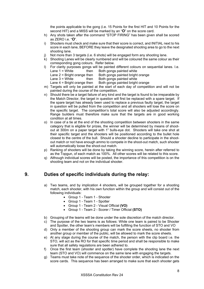the points applicable to the gong (i.e. 15 Points for the first HIT and 10 Points for the second HIT) and a MISS will be marked by an "**O**" on the score card.

- h) Any shots taken after the command "STOP FIRING" has been given shall be scored as ZERO i.e. "**O**".
- i) Shooters must check and make sure that their score is correct, and INITIAL next to his score in each lane, BEFORE they leave the designated shooting area to go to the next shooting lane.
- Not more than 3 targets (i.e. 6 shots) will be engaged form any shooting lane.
- k) Shooting Lanes will be clearly numbered and will be coloured the same colour as their corresponding gong colours. Refer below.
- l) For clarity purposes gongs will be painted different colours on sequential lanes. I.e. then Both gongs painted white
	- Lane  $2$  = Bright orange then Both gongs painted bright orange
	- Lane  $3 =$  White then Both gongs painted white
	- Lane  $4 =$  Bright orange then Both gongs painted bright orange
- m) Targets will only be painted at the start of each day of competition and will not be painted during the course of the competition.
- n) Should there be a target failure of any kind and the target is found to be irreparable by the Match Director, the target in question will first be replaced with a spare target. If the spare target has already been used to replace a previous faulty target, the target in question will be pulled from the competition and all shooters will lose the score on the specific target. The competition's total score will also be adjusted accordingly. Range builders must therefore make sure that the targets are in good working condition at all times.
- o) In case of a tie at the end of the shooting competition between shooters in the same category that is eligible for prizes, the winner will be determined by means of shootout at 300m on a paper target with 1" bulls-eye dot. Shooters will take one shot at their specific target and the shooters will be positioned according to the bullet hole closest to the centre of the bull. Should a shooter decline to participate in the shootout match or not have enough ammo to compete in the shoot-out match, such shooter will automatically loose the shoot-out match.
- p) Ranking of shooters will be done by taking the winning score, herein after referred to as the Topgun, of each match as 100%. All other scores will be related to this score.
- q) Although individual scores will be posted, the importance of this competition is on the shooting team and not on the individual shooter.

## <span id="page-7-0"></span>**9. Duties of specific individuals during the relay:**

- a) Two teams, and by implication 4 shooters, will be grouped together for a shooting match, each shooter, with his own function within the group and will consist out of the following individuals:
	- Group 1 Team 1 Shooter
	- Group 1 Team 1 Spotter
	- Group 1 Team 2 Visual Official **(VO)**
	- Group 1 Team 2 Scorer / Timer Official **(STO)**
- b) Grouping of the teams will be done under the sole discretion of the match director.
- c) The purpose of the two teams is as follows: While one team is paired to be Shooter and Spotter, the other team's members will be fulfilling the function of STO and VO
- d) Only a member of the shooting group can mark the score sheets, no shooter from another group or member of the public, will be allowed to mark the score sheets.
- e) At any stage during the course of the match, the person with the clip board i.e. the STO, will act as the RO for that specific time period and shall be responsible to make sure that all safety regulations are been adhered to.
- f) Once the first team (shooter and spotter) have complete the shooting lane the next team (STO and VO) will commence on the same lane with engaging the targets.
- g) Teams must take note of the sequence of the shooter order, which is indicated on the score cards. This sequence has been arranged to make sure that each shooter gets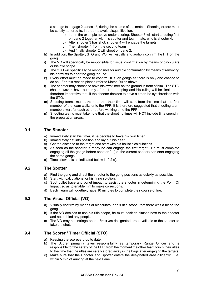a change to engage 2 Lanes  $1<sup>st</sup>$ , during the course of the match. Shooting orders must be strictly adhered to, in order to avoid disqualification.

- a) I.e. In the example above under scoring, Shooter 3 will start shooting first on Lane 2 together with his spotter and team mate, who is shooter 4.
- b) After shooter 3 has shot, shooter 4 will engage the targets.
- c) Then shooter 1 from the second team
- d) And finally shooter 2 will shoot on Lane 2.
- h) In addition, the Spotter, STO and VO, will visually and audibly confirm the HIT on the gong.
- i) The VO will specifically be responsible for visual confirmation by means of binoculars or his rifle scope.
- j) The STO will specifically be responsible for audible confirmation by means of removing his earmuffs to hear the gong "sound".
- k) Every effort must be made to confirm HITS on gongs as there is only one chance to do so. For this reason please refer to Match Rules above.
- l) The shooter may choose to have his own timer on the ground in front of him. The STO shall however, have authority of the time keeping and his ruling will be final. It is therefore imperative that, if the shooter decides to have a timer, he synchronises with the STO.
- m) Shooting teams must take note that their time will start from the time that the first member of the team walks onto the FFP. It is therefore suggested that shooting team members wait for each other before walking onto the FFP.
- n) Shooting teams must take note that the shooting times will NOT include time spend in the preparation areas.

#### **9.1 The Shooter**

- a) Immediately start his timer, if he decides to have his own timer.
- b) Immediately get into position and lay out his gear.
- c) Get the distance to the target and start with his ballistic calculations.
- d) As soon as the shooter is ready he can engage the first target. He must complete engaging all the gongs before shooter 2, (i.e. the current spotter) can start engaging the same gongs.
- e) Time allowed is as indicated below in 9.2 d).

#### **9.2 The Spotter**

- a) Find the gong and direct the shooter to the gong positions as quickly as possible.
- b) Start with calculations for his firing solution.
- c) Spot bullet trace and bullet impact to assist the shooter in determining the Point Of Impact so as to enable him to make corrections.
- d) Each Team will together, have 10 minutes to complete their course of fire.

#### **9.3 The Visual Official (VO)**

- a) Visually confirm by means of binoculars, or his rifle scope, that there was a hit on the gong.
- b) If the VO decides to use his rifle scope, he must position himself next to the shooter and not behind any people.
- c) The VO may not infringe on the 3m x 3m designated area available to the shooter to take the shot.

#### **9.4 The Scorer / Timer Official (STO)**

- a) Keeping the scorecard up to date.
- b) The Scorer primarily takes responsibility as temporary Range Officer and is responsible for the safety of the FFP, from the moment the other team touch their rifles to the time that the rifles are safely stored away in the bags after engaging the targets.
- c) Make sure that the Shooter and Spotter enters the designated area diligently. I.e. within 5 min of arriving at the next Lane.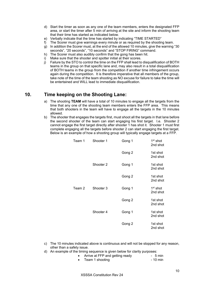- d) Start the timer as soon as any one of the team members, enters the designated FFP area, or start the timer after 5 min of arriving at the site and inform the shooting team that their time has started as indicated below.
- e) Verbally indicate that the time has started by indicating "TIME STARTED"
- f) The Scorer must give warnings every minute or as required by the shooting team.
- g) In addition the Scorer must, at the end of the allowed 10 minutes, give the warning "30 seconds", "20 seconds", "10 seconds" and "STOP FIRING" command.
- h) The Scorer must also audibly confirm that the gong has been hit.
- i) Make sure that the shooter and spotter initial at their scores.
- j) Failure by the STO to control the time on the FFP shall lead to disqualification of BOTH teams in the group on that specific lane and, may also result in a total disqualification of BOTH teams in the group from the competition if another time infringement occurs again during the competition. It is therefore imperative that all members of the group, take note of the time of the team shooting as NO excuse for failure to take the time will be entertained and WILL lead to immediate disqualification.

## <span id="page-9-0"></span>**10. Time keeping on the Shooting Lane:**

- a) The shooting **TEAM** will have a total of 10 minutes to engage all the targets from the time that any one of the shooting team members enters the FFP area. This means that both shooters in the team will have to engage all the targets in the 10 minutes allowed.
- b) The shooter that engages the targets first, must shoot all the targets in that lane before the second shooter of the team can start engaging his first target. I.e. Shooter 2 cannot engage the first target directly after shooter 1 has shot it. Shooter 1 must first complete engaging all the targets before shooter 2 can start engaging the first target. Below is an example of how a shooting group will typically engage targets at a FFP.

| Team 1 | Shooter 1 | Gong 1 | $1st$ shot<br>2nd shot |
|--------|-----------|--------|------------------------|
|        |           | Gong 2 | 1st shot<br>2nd shot   |
|        | Shooter 2 | Gong 1 | 1st shot<br>2nd shot   |
|        |           | Gong 2 | 1st shot<br>2nd shot   |
| Team 2 | Shooter 3 | Gong 1 | $1st$ shot<br>2nd shot |
|        |           | Gong 2 | 1st shot<br>2nd shot   |
|        | Shooter 4 | Gong 1 | 1st shot<br>2nd shot   |
|        |           | Gong 2 | 1st shot<br>2nd shot   |

- c) The 10 minutes indicated above is continuous and will not be stopped for any reason, other than a safety issue.
- d) An example of the timing sequence is given below for clarity purposes:

|  |  | Arrive at FFP and getting ready | $-5$ min |  |  |
|--|--|---------------------------------|----------|--|--|
|  |  |                                 |          |  |  |

Team 1 shooting  $\sim$  10 min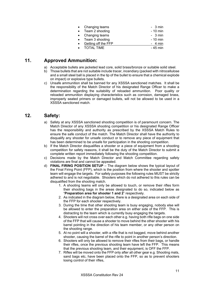| • Changing teams      | $-3$ min |
|-----------------------|----------|
| • Team 2 shooting     | - 10 min |
| • Changing teams      | $-3$ min |
| • Team 3 shooting     | - 10 min |
| • Getting off the FFP | $-4$ min |
| • TOTAL TIME          | - 45 min |

## <span id="page-10-0"></span>**11. Approved Ammunition:**

- a) Acceptable bullets are jacketed lead core, solid brass/bronze or suitable solid steel.
- b) Those bullets that are not suitable include tracer, incendiary (packed with nitrocellulose and a small steel ball is placed in the tip of the bullet to ensure that a chemical explode on impact) or explosive type bullets.
- c) Unsafe ammunition shall be banned for any XSSSA sanctioned matches. It shall be the responsibility of the Match Director of his designated Range Officer to make a determination regarding the suitability of reloaded ammunition. Poor quality or reloaded ammunition displaying characteristics such as corrosion, damaged brass, improperly seated primers or damaged bullets, will not be allowed to be used in a XSSSA sanctioned match.

## <span id="page-10-1"></span>**12. Safety:**

- a) Safety at any XSSSA sanctioned shooting competition is of paramount concern. The Match Director of any XSSSA shooting competition or his designated Range Officer has the responsibility and authority as prescribed by the XSSSA Match Rules to ensure the safe conduct of the match. The Match Director shall have the authority to disqualify any shooter for unsafe conduct or to remove any piece of equipment that has been determined to be unsafe for participation in the shooting competition.
- b) If the Match Director disqualifies a shooter or a piece of equipment from a shooting competition for safety reasons, it shall be the duty of the Match Director to submit a complete written report immediately following the shooting competition.
- c) Decisions made by the Match Director and Match Committee regarding safety violations are final and cannot be appealed.
- d) **FINAL FIRING POSITION SETUP** The diagram below shows the typical layout of the Final Firing Point (FFP), which is the position from where the shooter and spotter team will engage the targets. For safety purposes the following rules MUST be strictly adhered to and is not negotiable. Shooters which do not adhered to this rules can be disqualified from the shooting match.
	- 1. A shooting teams will only be allowed to touch, or remove their rifles form their shooting bags in the areas designated to do so, indicated below as "**Preparation area for shooter 1 and 2**" respectively.
	- 2. As indicated in the diagram below, there is a designated area on each side of the FFP for each shooter respectively.
	- 3. During the time that other shooting team is busy engaging, nobody else will be allowed to enter the preparation area on either side of the FFP. This is distracting to the team which is currently busy engaging the targets.
	- 4. Shooters will not cross over each other e.g. having both rifle bags on one side of the FFP that will cause a shooter to move behind the other shooter with his barrel pointing in the direction of his team member, or any other person on the shooting range.
	- 5. At no point will a shooter, with a rifle that is not bagged, move behind another shooter, causing the barrel of the rifle to point in another person's direction.
	- 6. Shooters will only be allowed to remove their rifles from their bags, or handle their rifles, once the previous shooting team have left the FFP. This means that the previous shooting team, and their equipment, is OFF the FFP.
	- 7. Rifles will be moved onto the FFP only after all other gear e.g. Shooting mats, sand bags etc, have been placed onto the FFP, so as to prevent shooters losing control of their rifles,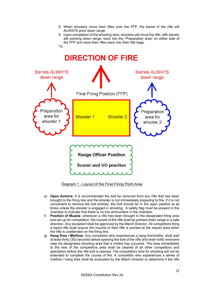- 8. When shooters move their rifles onto the FFP, the barrel of the rifle will ALWAYS point down range.
- 9. Upon completion of the shooting lane, shooters will move the rifle, with barrels still pointing down range, back into the "Preparation area" on either side of the FFP and store their rifles back into their rifle bags.





Diagram 1 - Layout of the Final Firing Point Area

- e) **Open Actions**: It is recommended the bolt be removed from any rifle that has been brought to the firing line and the shooter is not immediately preparing to fire. If it is not convenient to remove the bolt entirely, the bolt should be in the open position at all times unless the shooter is engaged in shooting. A safety flag must be present in the chamber to indicate that there is no live ammunition in the chamber.
- f) **Position of Muzzle**: whenever a rifle has been brought to the designated firing area and set up for competition, the muzzle of the rifle shall be pointed down range in a safe direction. Any exception shall be approved by the Match Director. All competitors firing a bipod rifle shall ensure the muzzle of their rifle is pointed at the impact area when the rifle is unattended on the firing line.
- g) **Hang fires / Misfires**: Any competitor who experiences a hang fire/misfire, shall wait at least thirty (30) seconds before opening the bolt of the rifle and shall notify everyone near his designated shooting area that a misfire has occurred. The area immediately to the rear of the competitors area shall be cleared of all other competitors and spectators before the rifle bolt is opened. The competitors time for shooting will not be extended to complete the course of fire. A competitor who experiences a series of misfires / hang fires shall be evaluated by the Match Director to determine if the rifle